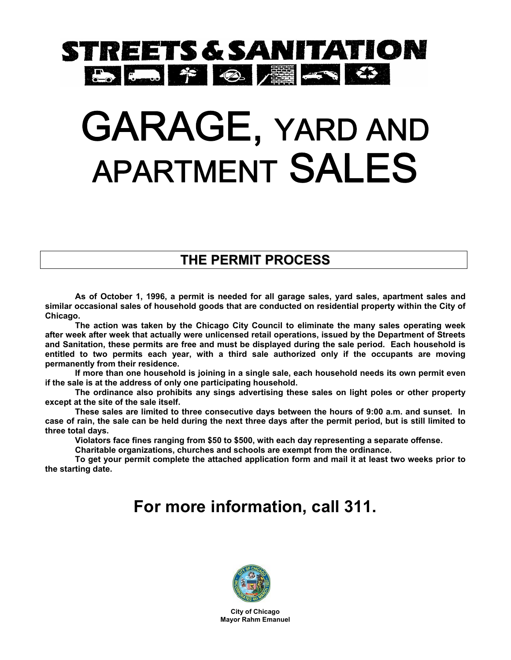# STREETS & SANITATION 5 5 7 9 2 3

# GARAGE, YARD AND APARTMENT SALES

#### **THE PERMIT PROCESS**

**As of October 1, 1996, a permit is needed for all garage sales, yard sales, apartment sales and similar occasional sales of household goods that are conducted on residential property within the City of Chicago.** 

**The action was taken by the Chicago City Council to eliminate the many sales operating week after week after week that actually were unlicensed retail operations, issued by the Department of Streets and Sanitation, these permits are free and must be displayed during the sale period. Each household is entitled to two permits each year, with a third sale authorized only if the occupants are moving permanently from their residence.** 

**If more than one household is joining in a single sale, each household needs its own permit even if the sale is at the address of only one participating household.** 

**The ordinance also prohibits any sings advertising these sales on light poles or other property except at the site of the sale itself.** 

**These sales are limited to three consecutive days between the hours of 9:00 a.m. and sunset. In case of rain, the sale can be held during the next three days after the permit period, but is still limited to three total days.** 

**Violators face fines ranging from \$50 to \$500, with each day representing a separate offense.** 

**Charitable organizations, churches and schools are exempt from the ordinance.** 

**To get your permit complete the attached application form and mail it at least two weeks prior to the starting date.**

## **For more information, call 311.**



**City of Chicago Mayor Rahm Emanuel**